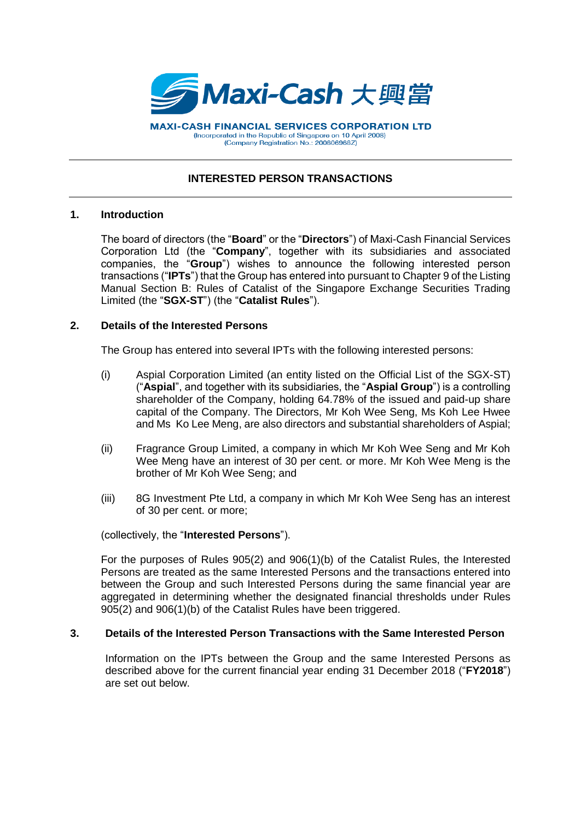

**MAXI-CASH FINANCIAL SERVICES CORPORATION LTD** (Incorporated in the Republic of Singapore on 10 April 2008) (Company Registration No.: 200806968Z)

# **INTERESTED PERSON TRANSACTIONS**

### **1. Introduction**

The board of directors (the "**Board**" or the "**Directors**") of Maxi-Cash Financial Services Corporation Ltd (the "**Company**", together with its subsidiaries and associated companies, the "**Group**") wishes to announce the following interested person transactions ("**IPTs**") that the Group has entered into pursuant to Chapter 9 of the Listing Manual Section B: Rules of Catalist of the Singapore Exchange Securities Trading Limited (the "**SGX-ST**") (the "**Catalist Rules**").

### **2. Details of the Interested Persons**

The Group has entered into several IPTs with the following interested persons:

- (i) Aspial Corporation Limited (an entity listed on the Official List of the SGX-ST) ("**Aspial**", and together with its subsidiaries, the "**Aspial Group**") is a controlling shareholder of the Company, holding 64.78% of the issued and paid-up share capital of the Company. The Directors, Mr Koh Wee Seng, Ms Koh Lee Hwee and Ms Ko Lee Meng, are also directors and substantial shareholders of Aspial;
- (ii) Fragrance Group Limited, a company in which Mr Koh Wee Seng and Mr Koh Wee Meng have an interest of 30 per cent. or more. Mr Koh Wee Meng is the brother of Mr Koh Wee Seng; and
- (iii) 8G Investment Pte Ltd, a company in which Mr Koh Wee Seng has an interest of 30 per cent. or more;

#### (collectively, the "**Interested Persons**").

For the purposes of Rules 905(2) and 906(1)(b) of the Catalist Rules, the Interested Persons are treated as the same Interested Persons and the transactions entered into between the Group and such Interested Persons during the same financial year are aggregated in determining whether the designated financial thresholds under Rules 905(2) and 906(1)(b) of the Catalist Rules have been triggered.

## **3. Details of the Interested Person Transactions with the Same Interested Person**

Information on the IPTs between the Group and the same Interested Persons as described above for the current financial year ending 31 December 2018 ("**FY2018**") are set out below.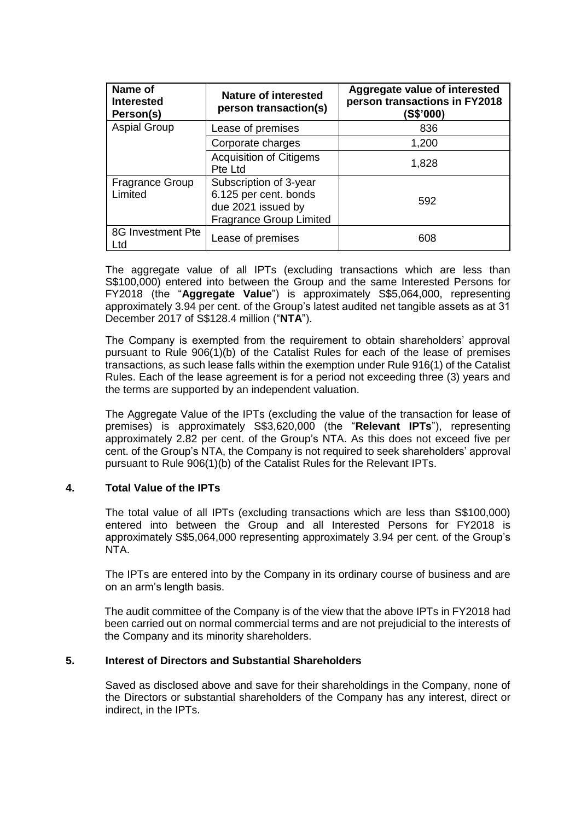| Name of<br><b>Interested</b><br>Person(s) | Nature of interested<br>person transaction(s)                                                           | Aggregate value of interested<br>person transactions in FY2018<br>(S\$'000) |
|-------------------------------------------|---------------------------------------------------------------------------------------------------------|-----------------------------------------------------------------------------|
| <b>Aspial Group</b>                       | Lease of premises                                                                                       | 836                                                                         |
|                                           | Corporate charges                                                                                       | 1,200                                                                       |
|                                           | <b>Acquisition of Citigems</b><br>Pte Ltd                                                               | 1,828                                                                       |
| <b>Fragrance Group</b><br>Limited         | Subscription of 3-year<br>6.125 per cent. bonds<br>due 2021 issued by<br><b>Fragrance Group Limited</b> | 592                                                                         |
| 8G Investment Pte<br>Ltd                  | Lease of premises                                                                                       | 608                                                                         |

The aggregate value of all IPTs (excluding transactions which are less than S\$100,000) entered into between the Group and the same Interested Persons for FY2018 (the "**Aggregate Value**") is approximately S\$5,064,000, representing approximately 3.94 per cent. of the Group's latest audited net tangible assets as at 31 December 2017 of S\$128.4 million ("**NTA**").

The Company is exempted from the requirement to obtain shareholders' approval pursuant to Rule 906(1)(b) of the Catalist Rules for each of the lease of premises transactions, as such lease falls within the exemption under Rule 916(1) of the Catalist Rules. Each of the lease agreement is for a period not exceeding three (3) years and the terms are supported by an independent valuation.

The Aggregate Value of the IPTs (excluding the value of the transaction for lease of premises) is approximately S\$3,620,000 (the "**Relevant IPTs**"), representing approximately 2.82 per cent. of the Group's NTA. As this does not exceed five per cent. of the Group's NTA, the Company is not required to seek shareholders' approval pursuant to Rule 906(1)(b) of the Catalist Rules for the Relevant IPTs.

## **4. Total Value of the IPTs**

The total value of all IPTs (excluding transactions which are less than S\$100,000) entered into between the Group and all Interested Persons for FY2018 is approximately S\$5,064,000 representing approximately 3.94 per cent. of the Group's NTA.

The IPTs are entered into by the Company in its ordinary course of business and are on an arm's length basis.

The audit committee of the Company is of the view that the above IPTs in FY2018 had been carried out on normal commercial terms and are not prejudicial to the interests of the Company and its minority shareholders.

## **5. Interest of Directors and Substantial Shareholders**

Saved as disclosed above and save for their shareholdings in the Company, none of the Directors or substantial shareholders of the Company has any interest, direct or indirect, in the IPTs.